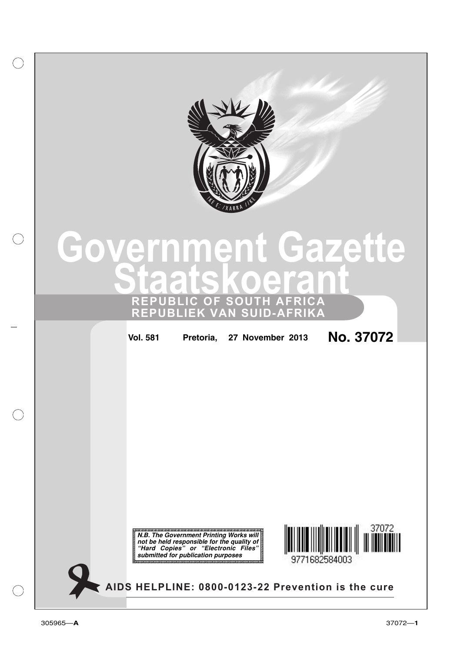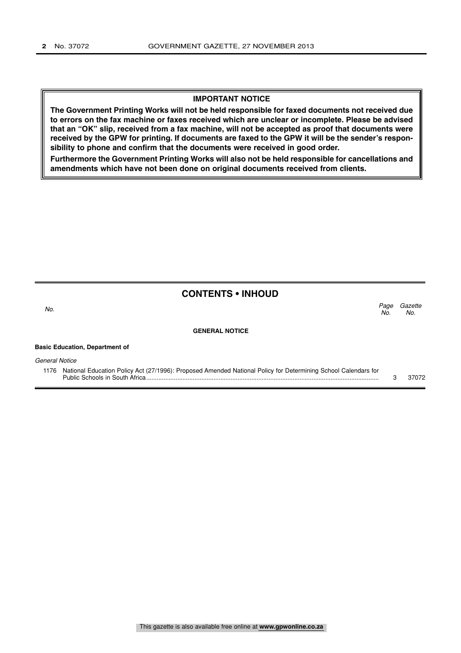## **IMPORTANT NOTICE**

**The Government Printing Works will not be held responsible for faxed documents not received due to errors on the fax machine or faxes received which are unclear or incomplete. Please be advised that an "OK" slip, received from a fax machine, will not be accepted as proof that documents were received by the GPW for printing. If documents are faxed to the GPW it will be the sender's responsibility to phone and confirm that the documents were received in good order.**

**Furthermore the Government Printing Works will also not be held responsible for cancellations and amendments which have not been done on original documents received from clients.**

# **CONTENTS • INHOUD**

Page Gazette No. No.  $\sim$  No.

## **GENERAL NOTICE**

#### **Basic Education, Department of**

General Notice

1176 National Education Policy Act (27/1996): Proposed Amended National Policy for Determining School Calendars for Public Schools in South Africa....................................................................................................................................... 3 37072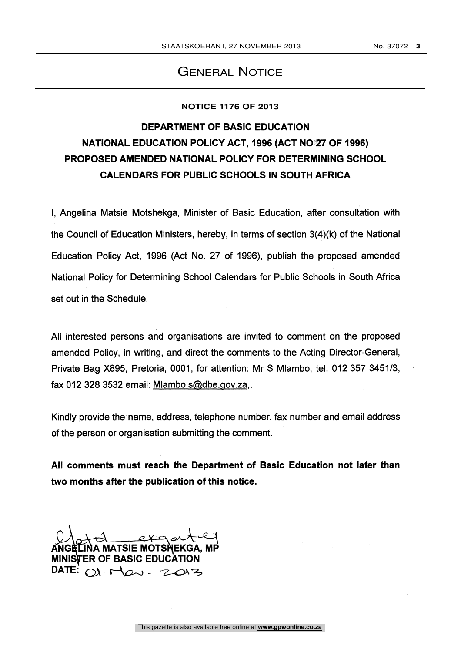# GENERAL NOTICE

# **NOTICE 1176 OF 2013**

# DEPARTMENT OF BASIC EDUCATION NATIONAL EDUCATION POLICY ACT, 1996 (ACT NO27 OF 1996) PROPOSED AMENDED NATIONAL POLICY FOR DETERMINING SCHOOL CALENDARS FOR PUBLIC SCHOOLS IN SOUTH AFRICA

I, Angelina Matsie Motshekga, Minister of Basic Education, after consultation with the Council of Education Ministers, hereby, in terms of section 3(4)(k) of the National Education Policy Act, 1996 (Act No. 27 of 1996), publish the proposed amended National Policy for Determining School Calendars for Public Schools in South Africa set out in the Schedule.

All interested persons and organisations are invited to comment on the proposed amended Policy, in writing, and direct the comments to the Acting Director-General, Private Bag X895, Pretoria, 0001, for attention: Mr S Mlambo, tel. 012 357 3451/3, fax 012 328 3532 email: Mlambo.s $@$ dbe.gov.za,.

Kindly provide the name, address, telephone number, fax number and email address of the person or organisation submitting the comment.

All comments must reach the Department of Basic Education not later than two months after the publication of this notice.

ANGELINA MATSIE MOTSNEKGA, MP MINISTER OF BASIC EDUCATION DATE:  $\bigcap_{\alpha=1}^{\infty} \bigcap_{\alpha=1}^{\infty}$   $\bigcap_{\alpha=1}^{\infty} \bigcap_{\alpha=1}^{\infty}$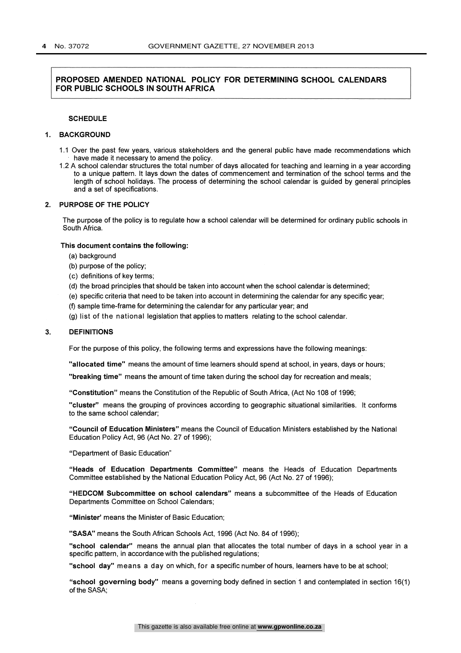# PROPOSED AMENDED NATIONAL POLICY FOR DETERMINING SCHOOL CALENDARS FOR PUBLIC SCHOOLS IN SOUTH AFRICA

## **SCHEDULE**

## 1. BACKGROUND

- 1.1 Over the past few years, various stakeholders and the general public have made recommendations which have made it necessary to amend the policy.
- 1.2 A school calendar structures the total number of days allocated for teaching and learning in a year according to a unique pattern. It lays down the dates of commencement and termination of the school terms and the length of school holidays. The process of determining the school calendar is guided by general principles and a set of specifications.

## 2. PURPOSE OF THE POLICY

The purpose of the policy is to regulate how a school calendar will be determined for ordinary public schools in South Africa.

#### This document contains the following:

- (a) background
- (b) purpose of the policy;
- (c) definitions of key terms;
- (d) the broad principles that should be taken into account when the school calendar is determined;
- (e) specific criteria that need to be taken into account in determining the calendar for any specific year;
- (f) sample time-frame for determining the calendar for any particular year; and
- (g) list of the national legislation that applies to matters relating to the school calendar.

#### 3. DEFINITIONS

For the purpose of this policy, the following terms and expressions have the following meanings:

"allocated time" means the amount of time learners should spend at school, in years, days or hours;

"breaking time" means the amount of time taken during the school day for recreation and meals;

"Constitution" means the Constitution of the Republic of South Africa, (Act No 108 of 1996;

"cluster" means the grouping of provinces according to geographic situational similarities. It conforms to the same school calendar;

"Council of Education Ministers" means the Council of Education Ministers established by the National Education Policy Act, 96 (Act No. 27 of 1996);

"Department of Basic Education"

"Heads of Education Departments Committee" means the Heads of Education Departments Committee established by the National Education Policy Act, 96 (Act No. 27 of 1996);

"HEDCOM Subcommittee on school calendars" means a subcommittee of the Heads of Education Departments Committee on School Calendars;

"Minister' means the Minister of Basic Education;

"SASA" means the South African Schools Act, 1996 (Act No. 84 of 1996);

"school calendar" means the annual plan that allocates the total number of days in a school year in a specific pattern, in accordance with the published regulations;

"school day" means a day on which, for a specific number of hours, learners have to be at school;

"school governing body" means a governing body defined in section 1 and contemplated in section 16(1) of the SASA;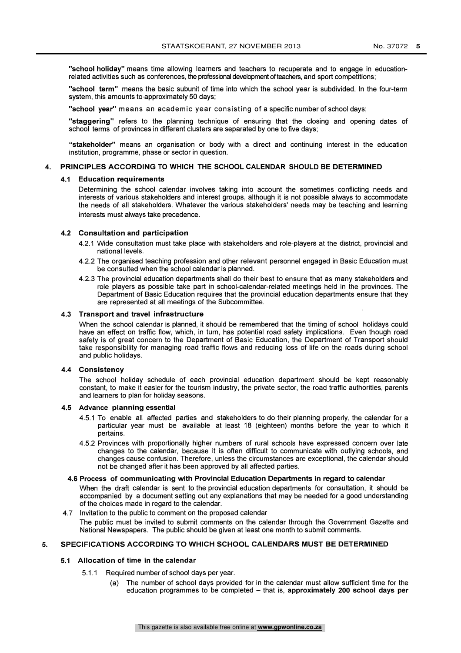"school holiday" means time allowing learners and teachers to recuperate and to engage in educationrelated activities such as conferences, the professional development of teachers, and sport competitions;

"school term" means the basic subunit of time into which the school year is subdivided. In the four-term system, this amounts to approximately 50 days;

"school year" means an academic year consisting of a specific number of school days;

"staggering" refers to the planning technique of ensuring that the closing and opening dates of school terms of provinces in different clusters are separated by one to five days;

"stakeholder" means an organisation or body with a direct and continuing interest in the education institution, programme, phase or sector in question.

## 4. PRINCIPLES ACCORDING TO WHICH THE SCHOOL CALENDAR SHOULD BE DETERMINED

#### 4.1 Education requirements

Determining the school calendar involves taking into account the sometimes conflicting needs and interests of various stakeholders and interest groups, although it is not possible always to accommodate the needs of all stakeholders. Whatever the various stakeholders' needs may be teaching and learning interests must always take precedence.

#### 4.2 Consultation and participation

- 4.2.1 Wide consultation must take place with stakeholders and role-players at the district, provincial and national levels.
- 4.2.2 The organised teaching profession and other relevant personnel engaged in Basic Education must be consulted when the school calendar is planned.
- 4.2.3 The provincial education departments shall do their best to ensure that as many stakeholders and role players as possible take part in school-calendar-related meetings held in the provinces. The Department of Basic Education requires that the provincial education departments ensure that they are represented at all meetings of the Subcommittee.

#### 4.3 Transport and travel infrastructure

When the school calendar is planned, it should be remembered that the timing of school holidays could have an effect on traffic flow, which, in turn, has potential road safety implications. Even though road safety is of great concern to the Department of Basic Education, the Department of Transport should take responsibility for managing road traffic flows and reducing loss of life on the roads during school and public holidays.

#### 4.4 Consistency

The school holiday schedule of each provincial education department should be kept reasonably constant, to make it easier for the tourism industry, the private sector, the road traffic authorities, parents and learners to plan for holiday seasons.

### 4.5 Advance planning essential

- 4.5.1 To enable all affected parties and stakeholders to do their planning properly, the calendar for a particular year must be available at least 18 (eighteen) months before the year to which it pertains.
- 4.5.2 Provinces with proportionally higher numbers of rural schools have expressed concern over late changes to the calendar, because it is often difficult to communicate with outlying schools, and changes cause confusion. Therefore, unless the circumstances are exceptional, the calendar should not be changed after it has been approved by all affected parties.

## 4.6 Process of communicating with Provincial Education Departments in regard to calendar

When the draft calendar is sent to the provincial education departments for consultation, it should be accompanied by a document setting out any explanations that may be needed for a good understanding of the choices made in regard to the calendar.

4.7 Invitation to the public to comment on the proposed calendar The public must be invited to submit comments on the calendar through the Government Gazette and National Newspapers. The public should be given at least one month to submit comments.

#### 5. SPECIFICATIONS ACCORDING TO WHICH SCHOOL CALENDARS MUST BE DETERMINED

## 5.1 Allocation of time in the calendar

- 5.1.1 Required number of school days per year.
	- (a) The number of school days provided for in the calendar must allow sufficient time for the education programmes to be completed  $-$  that is, approximately 200 school days per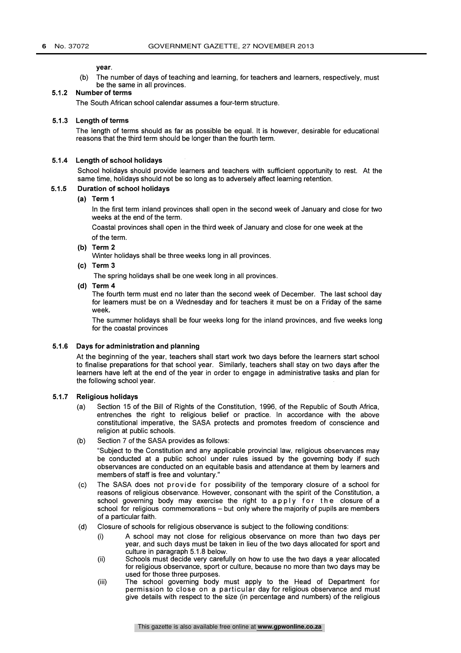year.

(b) The number of days of teaching and learning, for teachers and learners, respectively, must be the same in all provinces.

## 5.1.2 Number of terms

The South African school calendar assumes a four-term structure.

## 5.1.3 Length of terms

The length of terms should as far as possible be equal. It is however, desirable for educational reasons that the third term should be longer than the fourth term.

#### 5.1.4 Length of school holidays

School holidays should provide learners and teachers with sufficient opportunity to rest. At the same time, holidays should not be so long as to adversely affect learning retention.

## 5.1.5 Duration of school holidays

## (a) Term 1

In the first term inland provinces shall open in the second week of January and close for two weeks at the end of the term.

Coastal provinces shall open in the third week of January and close for one week at the of the term.

- (b) Term 2
- Winter holidays shall be three weeks long in all provinces.
- (c) Term 3

The spring holidays shall be one week long in all provinces.

(d) Term 4

The fourth term must end no later than the second week of December. The last school day for learners must be on a Wednesday and for teachers it must be on a Friday of the same week.

The summer holidays shall be four weeks long for the inland provinces, and five weeks long for the coastal provinces

## 5.1.6 Days for administration and planning

At the beginning of the year, teachers shall start work two days before the learners start school to finalise preparations for that school year. Similarly, teachers shall stay on two days after the learners have left at the end of the year in order to engage in administrative tasks and plan for the following school year.

#### 5.1.7 Religious holidays

- (a) Section 15 of the Bill of Rights of the Constitution, 1996, of the Republic of South Africa, entrenches the right to religious belief or practice. In accordance with the above constitutional imperative, the SASA protects and promotes freedom of conscience and religion at public schools.
- (b) Section 7 of the SASA provides as follows:

"Subject to the Constitution and any applicable provincial law, religious observances may be conducted at a public school under rules issued by the governing body if such observances are conducted on an equitable basis and attendance at them by learners and members of staff is free and voluntary."

- (c) The SASA does not provide for possibility of the temporary closure of a school for reasons of religious observance. However, consonant with the spirit of the Constitution, a school governing body may exercise the right to apply for the closure of a school for religious commemorations - but only where the majority of pupils are members of a particular faith.
- (d) Closure of schools for religious observance is subject to the following conditions:
	- (i) A school may not close for religious observance on more than two days per year, and such days must be taken in lieu of the two days allocated for sport and culture in paragraph 5.1.8 below.
	- (ii) Schools must decide very carefully on how to use the two days a year allocated for religious observance, sport or culture, because no more than two days may be used for those three purposes.
	- (iii) The school governing body must apply to the Head of Department for permission to close on a particular day for religious observance and must give details with respect to the size (in percentage and numbers) of the religious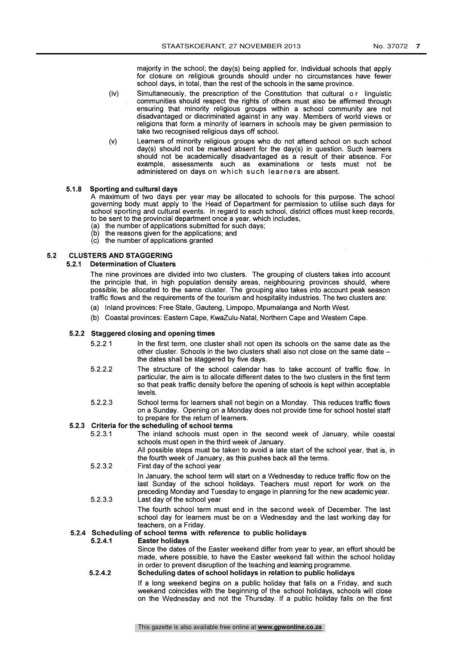majority in the school; the day(s) being applied for, Individual schools that apply for closure on religious grounds should under no circumstances have fewer school days, in total, than the rest of the schools in the same province.

- (iv) Simultaneously, the prescription of the Constitution that cultural o r linguistic communities should respect the rights of others must also be affirmed through ensuring that minority religious groups within a school community are not disadvantaged or discriminated against in any way. Members of world views or religions that form a minority of learners in schools may be given permission to take two recognised religious days off school.
- (v) Learners of minority religious groups who do not attend school on such school day(s) should not be marked absent for the day(s) in question. Such learners should not be academically disadvantaged as a result of their absence. For example, assessments such as examinations or tests must not be administered on days on which such learners are absent.

#### 5.1.8 Sporting and cultural days

A maximum of two days per year may be allocated to schools for this purpose. The school governing body must apply to the Head of Department for permission to utilise such days for school sporting and cultural events. In regard to each school, district offices must keep records, to be sent to the provincial department once a year, which includes,

- (a) the number of applications submitted for such days;
- (b) the reasons given for the applications; and
- (c) the number of applications granted

## 5.2 CLUSTERS AND STAGGERING

#### 5.2.1 Determination of Clusters

The nine provinces are divided into two clusters. The grouping of clusters takes into account the principle that, in high population density areas, neighbouring provinces should, where possible, be allocated to the same cluster. The grouping also takes into account peak season traffic flows and the requirements of the tourism and hospitality industries. The two clusters are:

- (a) Inland provinces: Free State, Gauteng, Limpopo, Mpumalanga and North West.
- (b) Coastal provinces: Eastern Cape, KwaZulu-Natal, Northern Cape and Western Cape.

#### 5.2.2 Staggered closing and opening times

- 5.2.2 1 In the first term, one cluster shall not open its schools on the same date as the other cluster. Schools in the two clusters shall also not close on the same date the dates shall be staggered by five days.
- 5.2.2.2 The structure of the school calendar has to take account of traffic flow. In particular, the aim is to allocate different dates to the two clusters in the first term so that peak traffic density before the opening of schools is kept within acceptable levels.
- 5.2.2.3 School terms for learners shall not begin on a Monday. This reduces traffic flows on a Sunday. Opening on a Monday does not provide time for school hostel staff to prepare for the return of learners.

## 5.2.3 Criteria for the scheduling of school terms

5.2.3.1 The inland schools must open in the second week of January, while coastal schools must open in the third week of January. All possible steps must be taken to avoid a late start of the school year, that is, in the fourth week of January, as this pushes back all the terms.

5.2.3.2 First day of the school year

In January, the school term will start on a Wednesday to reduce traffic flow on the last Sunday of the school holidays. Teachers must report for work on the preceding Monday and Tuesday to engage in planning for the new academic year. 5.2.3.3 Last day of the school year

> The fourth school term must end in the second week of December. The last school day for learners must be on a Wednesday and the last working day for teachers, on a Friday.

# 5.2.4 Scheduling of school terms with reference to public holidays<br>5.2.4.1 Easter holidays

## Easter holidays

Since the dates of the Easter weekend differ from year to year, an effort should be made, where possible, to have the Easter weekend fall within the school holiday in order to prevent disruption of the teaching and learning programme.

## 5.2.4.2 Scheduling dates of school holidays in relation to public holidays

If a long weekend begins on a public holiday that falls on a Friday, and such weekend coincides with the beginning of the school holidays, schools will close on the Wednesday and not the Thursday. If a public holiday falls on the first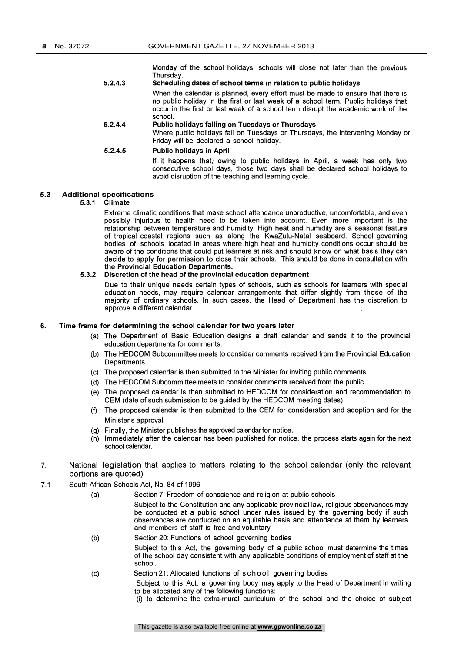Monday of the school holidays, schools will close not later than the previous Thursday.

## 5.2.4.3 Scheduling dates of school terms in relation to public holidays

When the calendar is planned, every effort must be made to ensure that there is no public holiday in the first or last week of a school term. Public holidays that occur in the first or last week of a school term disrupt the academic work of the school.

# 5.2.4.4 Public holidays falling on Tuesdays or Thursdays

Where public holidays fall on Tuesdays or Thursdays, the intervening Monday or Friday will be declared a school holiday.

## 5.2.4.5 Public holidays in April

If it happens that, owing to public holidays in April, a week has only two consecutive school days, those two days shall be declared school holidays to avoid disruption of the teaching and learning cycle.

# 5.3 Additional specifications

## **Climate**

Extreme climatic conditions that make school attendance unproductive, uncomfortable, and even possibly injurious to health need to be taken into account. Even more important is the relationship between temperature and humidity. High heat and humidity are a seasonal feature of tropical coastal regions such as along the KwaZulu-Natal seaboard. School governing bodies of schools located in areas where high heat and humidity conditions occur should be aware of the conditions that could put learners at risk and should know on what basis they can decide to apply for permission to close their schools. This should be done in consultation with the Provincial Education Departments.

#### 5.3.2 Discretion of the head of the provincial education department

Due to their unique needs certain types of schools, such as schools for learners with special education needs, may require calendar arrangements that differ slightly from those of the majority of ordinary schools. In such cases, the Head of Department has the discretion to approve a different calendar.

#### 6. Time frame for determining the school calendar for two years later

- (a) The Department of Basic Education designs a draft calendar and sends it to the provincial education departments for comments.
- (b) The HEDCOM Subcommittee meets to consider comments received from the Provincial Education Departments.
- (c) The proposed calendar is then submitted to the Minister for inviting public comments.
- (d) The HEDCOM Subcommittee meets to consider comments received from the public.
- (e) The proposed calendar is then submitted to HEDCOM for consideration and recommendation to CEM (date of such submission to be guided by the HEDCOM meeting dates).
- (f) The proposed calendar is then submitted to the CEM for consideration and adoption and for the Minister's approval.
- (g) Finally, the Minister publishes the approved calendar for notice.
- (h) Immediately after the calendar has been published for notice, the process starts again for the next school calendar.
- 7. National legislation that applies to matters relating to the school calendar (only the relevant portions are quoted)
- 7.1 South African Schools Act, No. 84 of 1996
	- (a) Section 7: Freedom of conscience and religion at public schools
		- Subject to the Constitution and any applicable provincial law, religious observances may be conducted at a public school under rules issued by the governing body if such observances are conducted on an equitable basis and attendance at them by learners and members of staff is free and voluntary
	- (b) Section 20: Functions of school governing bodies

Subject to this Act, the governing body of a public school must determine the times of the school day consistent with any applicable conditions of employment of staff at the school.

(c) Section 21: Allocated functions of school governing bodies

Subject to this Act, a governing body may apply to the Head of Department in writing to be allocated any of the following functions:

(i) to determine the extra-mural curriculum of the school and the choice of subject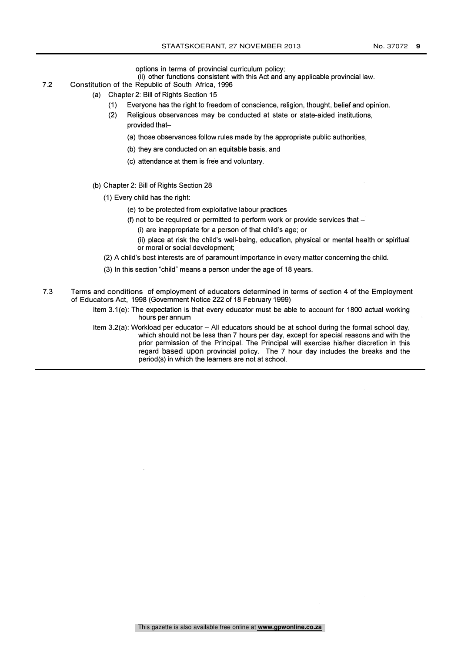options in terms of provincial curriculum policy;

(ii) other functions consistent with this Act and any applicable provincial law.

- 7.2 Constitution of the Republic of South Africa, 1996
	- (a) Chapter 2: Bill of Rights Section 15
		- (1) Everyone has the right to freedom of conscience, religion, thought, belief and opinion.
		- (2) Religious observances may be conducted at state or state-aided institutions, provided that-
			- (a) those observances follow rules made by the appropriate public authorities,
			- (b) they are conducted on an equitable basis, and
			- (c) attendance at them is free and voluntary.
	- (b) Chapter 2: Bill of Rights Section 28
		- (1) Every child has the right:
			- (e) to be protected from exploitative labour practices
			- (f) not to be required or permitted to perform work or provide services that  $-$ 
				- (i) are inappropriate for a person of that child's age; or
				- (ii) place at risk the child's well-being, education, physical or mental health or spiritual or moral or social development;
		- (2) A child's best interests are of paramount importance in every matter concerning the child.
		- (3) In this section "child" means a person under the age of 18 years.
- 7.3 Terms and conditions of employment of educators determined in terms of section 4 of the Employment of Educators Act, 1998 (Government Notice 222 of 18 February 1999)
	- Item 3.1(e): The expectation is that every educator must be able to account for 1800 actual working hours per annum
	- Item  $3.2(a)$ : Workload per educator All educators should be at school during the formal school day, which should not be less than 7 hours per day, except for special reasons and with the prior permission of the Principal. The Principal will exercise his/her discretion in this regard based upon provincial policy. The 7 hour day includes the breaks and the period(s) in which the learners are not at school.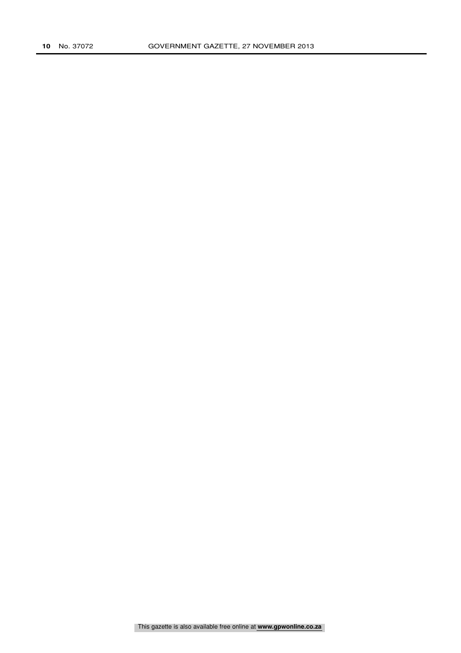This gazette is also available free online at **www.gpwonline.co.za**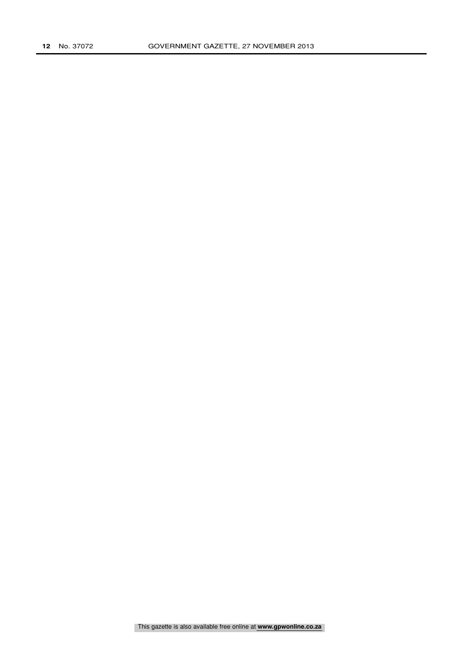This gazette is also available free online at **www.gpwonline.co.za**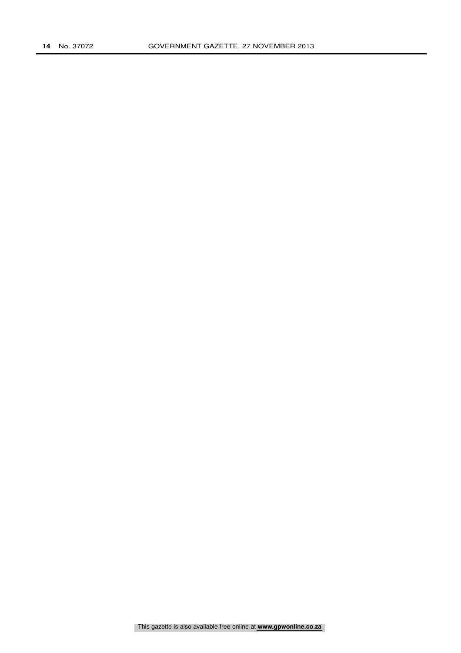This gazette is also available free online at **www.gpwonline.co.za**